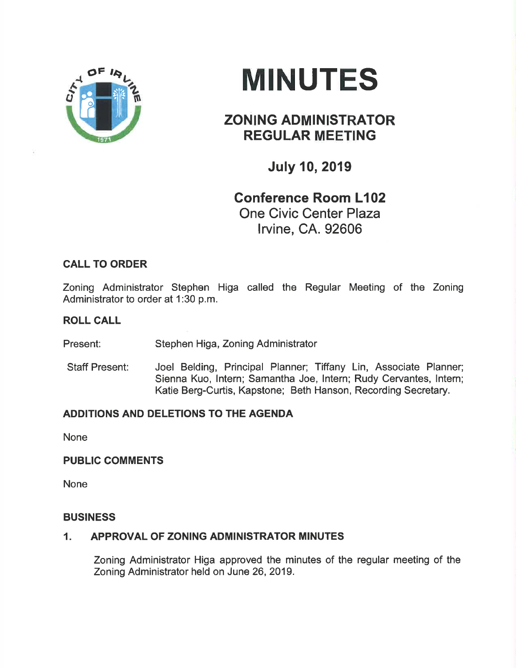

# **MINUTES**

# ZONING ADMINISTRATOR REGULAR MEETING

July 10,2019

# Gonference Room L102 One Civic Center Plaza lrvine, CA. 92606

# CALL TO ORDER

Zoning Administrator Stephen Higa called the Regular Meeting of the Zoning Administrator to order at 1:30 p.m.

# ROLL CALL

Present: Stephen Higa, Zoning Administrator

Staff Present: Joel Belding, Principal Planner; Tiffany Lin, Associate Planner; Sienna Kuo, lntern; Samantha Joe, lntern; Rudy Cervantes, lntem; Katie Berg-Curtis, Kapstone; Beth Hanson, Recording Secretary.

# ADDITIONS AND DELETIONS TO THE AGENDA

None

# PUBLIC COMMENTS

None

#### BUSINESS

# 1. APPROVAL OF ZONING ADMINISTRATOR MINUTES

Zoning Administrator Higa approved the minutes of the regular meeting of the Zoning Administrator held on June 26,2019.